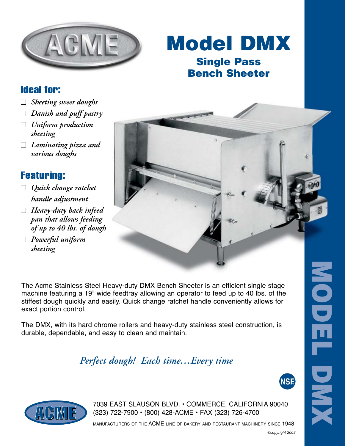

# Model DMX Single Pass Bench Sheeter

### Ideal for:

- *Sheeting sweet doughs*
- *Danish and puff pastry*
- *Uniform production sheeting*
- *Laminating pizza and various doughs*

#### Featuring:

- *Quick change ratchet handle adjustment*
- *Heavy-duty back infeed pan that allows feeding of up to 40 lbs. of dough*
- *Powerful uniform sheeting*

The Acme Stainless Steel Heavy-duty DMX Bench Sheeter is an efficient single stage machine featuring a 19" wide feedtray allowing an operator to feed up to 40 lbs. of the stiffest dough quickly and easily. Quick change ratchet handle conveniently allows for exact portion control.

The DMX, with its hard chrome rollers and heavy-duty stainless steel construction, is durable, dependable, and easy to clean and maintain.

### *Perfect dough! Each time…Every time*



MODEL

DMX



7039 EAST SLAUSON BLVD. • COMMERCE, CALIFORNIA 90040 (323) 722-7900 • (800) 428-ACME • FAX (323) 726-4700

manufacturers of the ACME line of bakery and restaurant machinery since 1948

*©copyright 2002*